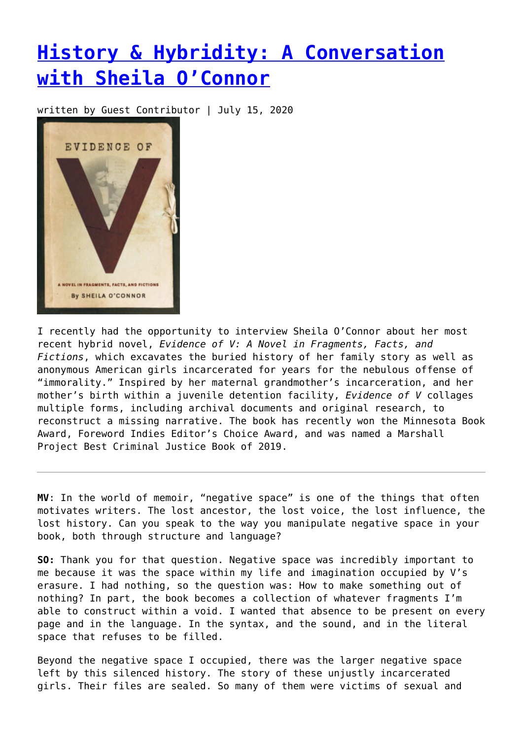## **[History & Hybridity: A Conversation](https://entropymag.org/history-hybridity-a-conversation-with-sheila-oconnor/) [with Sheila O'Connor](https://entropymag.org/history-hybridity-a-conversation-with-sheila-oconnor/)**

written by Guest Contributor | July 15, 2020



I recently had the opportunity to interview Sheila O'Connor about her most recent hybrid novel, *Evidence of V: A Novel in Fragments, Facts, and Fictions*, which excavates the buried history of her family story as well as anonymous American girls incarcerated for years for the nebulous offense of "immorality." Inspired by her maternal grandmother's incarceration, and her mother's birth within a juvenile detention facility, *Evidence of V* collages multiple forms, including archival documents and original research, to reconstruct a missing narrative. The book has recently won the Minnesota Book Award, Foreword Indies Editor's Choice Award, and was named a Marshall Project Best Criminal Justice Book of 2019.

**MV**: In the world of memoir, "negative space" is one of the things that often motivates writers. The lost ancestor, the lost voice, the lost influence, the lost history. Can you speak to the way you manipulate negative space in your book, both through structure and language?

**SO:** Thank you for that question. Negative space was incredibly important to me because it was the space within my life and imagination occupied by V's erasure. I had nothing, so the question was: How to make something out of nothing? In part, the book becomes a collection of whatever fragments I'm able to construct within a void. I wanted that absence to be present on every page and in the language. In the syntax, and the sound, and in the literal space that refuses to be filled.

Beyond the negative space I occupied, there was the larger negative space left by this silenced history. The story of these unjustly incarcerated girls. Their files are sealed. So many of them were victims of sexual and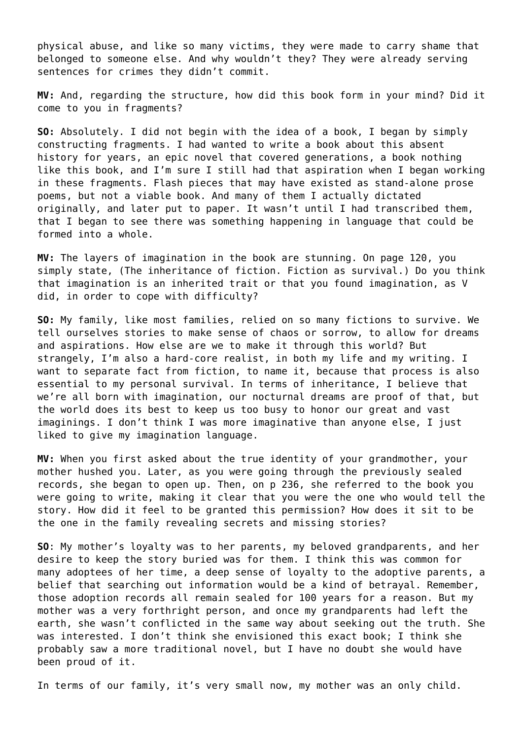physical abuse, and like so many victims, they were made to carry shame that belonged to someone else. And why wouldn't they? They were already serving sentences for crimes they didn't commit.

**MV:** And, regarding the structure, how did this book form in your mind? Did it come to you in fragments?

**SO:** Absolutely. I did not begin with the idea of a book, I began by simply constructing fragments. I had wanted to write a book about this absent history for years, an epic novel that covered generations, a book nothing like this book, and I'm sure I still had that aspiration when I began working in these fragments. Flash pieces that may have existed as stand-alone prose poems, but not a viable book. And many of them I actually dictated originally, and later put to paper. It wasn't until I had transcribed them, that I began to see there was something happening in language that could be formed into a whole.

**MV:** The layers of imagination in the book are stunning. On page 120, you simply state, (The inheritance of fiction. Fiction as survival.) Do you think that imagination is an inherited trait or that you found imagination, as V did, in order to cope with difficulty?

**SO:** My family, like most families, relied on so many fictions to survive. We tell ourselves stories to make sense of chaos or sorrow, to allow for dreams and aspirations. How else are we to make it through this world? But strangely, I'm also a hard-core realist, in both my life and my writing. I want to separate fact from fiction, to name it, because that process is also essential to my personal survival. In terms of inheritance, I believe that we're all born with imagination, our nocturnal dreams are proof of that, but the world does its best to keep us too busy to honor our great and vast imaginings. I don't think I was more imaginative than anyone else, I just liked to give my imagination language.

**MV:** When you first asked about the true identity of your grandmother, your mother hushed you. Later, as you were going through the previously sealed records, she began to open up. Then, on p 236, she referred to the book you were going to write, making it clear that you were the one who would tell the story. How did it feel to be granted this permission? How does it sit to be the one in the family revealing secrets and missing stories?

**SO**: My mother's loyalty was to her parents, my beloved grandparents, and her desire to keep the story buried was for them. I think this was common for many adoptees of her time, a deep sense of loyalty to the adoptive parents, a belief that searching out information would be a kind of betrayal. Remember, those adoption records all remain sealed for 100 years for a reason. But my mother was a very forthright person, and once my grandparents had left the earth, she wasn't conflicted in the same way about seeking out the truth. She was interested. I don't think she envisioned this exact book; I think she probably saw a more traditional novel, but I have no doubt she would have been proud of it.

In terms of our family, it's very small now, my mother was an only child.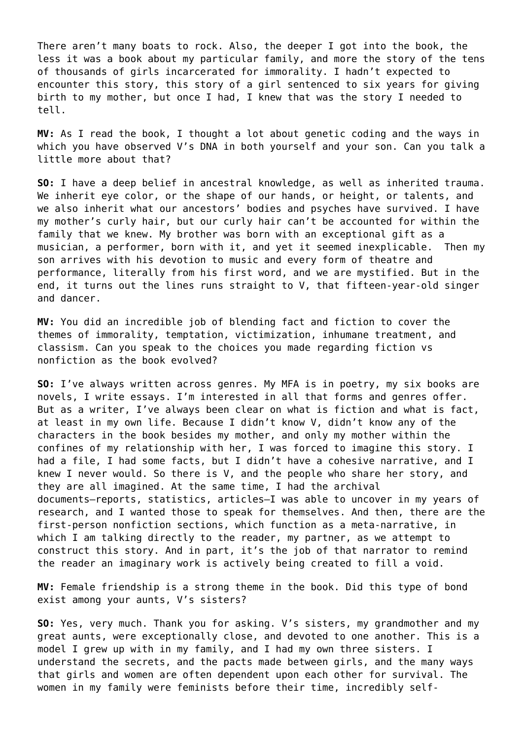There aren't many boats to rock. Also, the deeper I got into the book, the less it was a book about my particular family, and more the story of the tens of thousands of girls incarcerated for immorality. I hadn't expected to encounter this story, this story of a girl sentenced to six years for giving birth to my mother, but once I had, I knew that was the story I needed to tell.

**MV:** As I read the book, I thought a lot about genetic coding and the ways in which you have observed V's DNA in both yourself and your son. Can you talk a little more about that?

**SO:** I have a deep belief in ancestral knowledge, as well as inherited trauma. We inherit eye color, or the shape of our hands, or height, or talents, and we also inherit what our ancestors' bodies and psyches have survived. I have my mother's curly hair, but our curly hair can't be accounted for within the family that we knew. My brother was born with an exceptional gift as a musician, a performer, born with it, and yet it seemed inexplicable. Then my son arrives with his devotion to music and every form of theatre and performance, literally from his first word, and we are mystified. But in the end, it turns out the lines runs straight to V, that fifteen-year-old singer and dancer.

**MV:** You did an incredible job of blending fact and fiction to cover the themes of immorality, temptation, victimization, inhumane treatment, and classism. Can you speak to the choices you made regarding fiction vs nonfiction as the book evolved?

**SO:** I've always written across genres. My MFA is in poetry, my six books are novels, I write essays. I'm interested in all that forms and genres offer. But as a writer, I've always been clear on what is fiction and what is fact, at least in my own life. Because I didn't know V, didn't know any of the characters in the book besides my mother, and only my mother within the confines of my relationship with her, I was forced to imagine this story. I had a file, I had some facts, but I didn't have a cohesive narrative, and I knew I never would. So there is V, and the people who share her story, and they are all imagined. At the same time, I had the archival documents—reports, statistics, articles—I was able to uncover in my years of research, and I wanted those to speak for themselves. And then, there are the first-person nonfiction sections, which function as a meta-narrative, in which I am talking directly to the reader, my partner, as we attempt to construct this story. And in part, it's the job of that narrator to remind the reader an imaginary work is actively being created to fill a void.

**MV:** Female friendship is a strong theme in the book. Did this type of bond exist among your aunts, V's sisters?

**SO:** Yes, very much. Thank you for asking. V's sisters, my grandmother and my great aunts, were exceptionally close, and devoted to one another. This is a model I grew up with in my family, and I had my own three sisters. I understand the secrets, and the pacts made between girls, and the many ways that girls and women are often dependent upon each other for survival. The women in my family were feminists before their time, incredibly self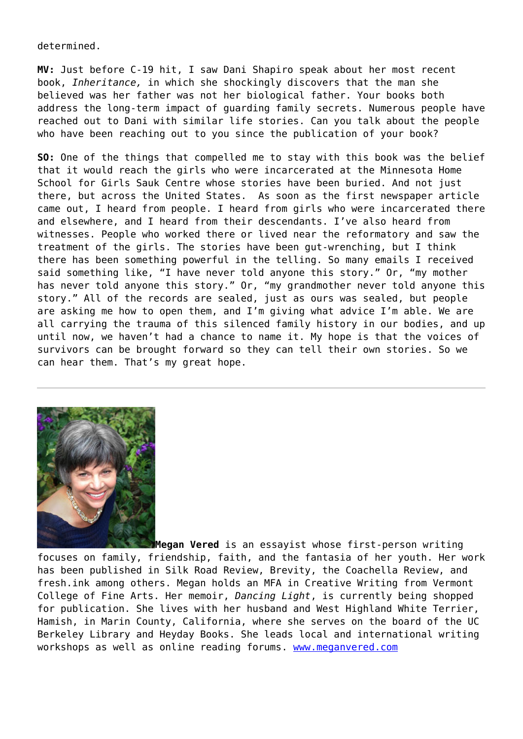determined.

**MV:** Just before C-19 hit, I saw Dani Shapiro speak about her most recent book, *Inheritance,* in which she shockingly discovers that the man she believed was her father was not her biological father. Your books both address the long-term impact of guarding family secrets. Numerous people have reached out to Dani with similar life stories. Can you talk about the people who have been reaching out to you since the publication of your book?

**SO:** One of the things that compelled me to stay with this book was the belief that it would reach the girls who were incarcerated at the Minnesota Home School for Girls Sauk Centre whose stories have been buried. And not just there, but across the United States. As soon as the first newspaper article came out, I heard from people. I heard from girls who were incarcerated there and elsewhere, and I heard from their descendants. I've also heard from witnesses. People who worked there or lived near the reformatory and saw the treatment of the girls. The stories have been gut-wrenching, but I think there has been something powerful in the telling. So many emails I received said something like, "I have never told anyone this story." Or, "my mother has never told anyone this story." Or, "my grandmother never told anyone this story." All of the records are sealed, just as ours was sealed, but people are asking me how to open them, and I'm giving what advice I'm able. We are all carrying the trauma of this silenced family history in our bodies, and up until now, we haven't had a chance to name it. My hope is that the voices of survivors can be brought forward so they can tell their own stories. So we can hear them. That's my great hope.



**Megan Vered** is an essayist whose first-person writing focuses on family, friendship, faith, and the fantasia of her youth. Her work has been published in Silk Road Review, Brevity, the Coachella Review, and fresh.ink among others. Megan holds an MFA in Creative Writing from Vermont College of Fine Arts. Her memoir, *Dancing Light*, is currently being shopped for publication. She lives with her husband and West Highland White Terrier, Hamish, in Marin County, California, where she serves on the board of the UC Berkeley Library and Heyday Books. She leads local and international writing workshops as well as online reading forums. [www.meganvered.com](http://www.meganvered.com)